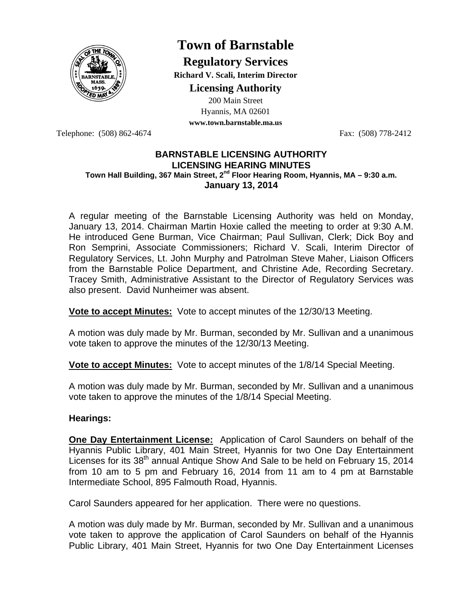

# **Town of Barnstable**

**Regulatory Services Richard V. Scali, Interim Director Licensing Authority**

200 Main Street

Hyannis, MA 02601 **www.town.barnstable.ma.us**

Telephone: (508) 862-4674 Fax: (508) 778-2412

#### **BARNSTABLE LICENSING AUTHORITY LICENSING HEARING MINUTES Town Hall Building, 367 Main Street, 2nd Floor Hearing Room, Hyannis, MA – 9:30 a.m. January 13, 2014**

A regular meeting of the Barnstable Licensing Authority was held on Monday, January 13, 2014. Chairman Martin Hoxie called the meeting to order at 9:30 A.M. He introduced Gene Burman, Vice Chairman; Paul Sullivan, Clerk; Dick Boy and Ron Semprini, Associate Commissioners; Richard V. Scali, Interim Director of Regulatory Services, Lt. John Murphy and Patrolman Steve Maher, Liaison Officers from the Barnstable Police Department, and Christine Ade, Recording Secretary. Tracey Smith, Administrative Assistant to the Director of Regulatory Services was also present. David Nunheimer was absent.

**Vote to accept Minutes:** Vote to accept minutes of the 12/30/13 Meeting.

A motion was duly made by Mr. Burman, seconded by Mr. Sullivan and a unanimous vote taken to approve the minutes of the 12/30/13 Meeting.

**Vote to accept Minutes:** Vote to accept minutes of the 1/8/14 Special Meeting.

A motion was duly made by Mr. Burman, seconded by Mr. Sullivan and a unanimous vote taken to approve the minutes of the 1/8/14 Special Meeting.

## **Hearings:**

**One Day Entertainment License:** Application of Carol Saunders on behalf of the Hyannis Public Library, 401 Main Street, Hyannis for two One Day Entertainment Licenses for its 38<sup>th</sup> annual Antique Show And Sale to be held on February 15, 2014 from 10 am to 5 pm and February 16, 2014 from 11 am to 4 pm at Barnstable Intermediate School, 895 Falmouth Road, Hyannis.

Carol Saunders appeared for her application. There were no questions.

A motion was duly made by Mr. Burman, seconded by Mr. Sullivan and a unanimous vote taken to approve the application of Carol Saunders on behalf of the Hyannis Public Library, 401 Main Street, Hyannis for two One Day Entertainment Licenses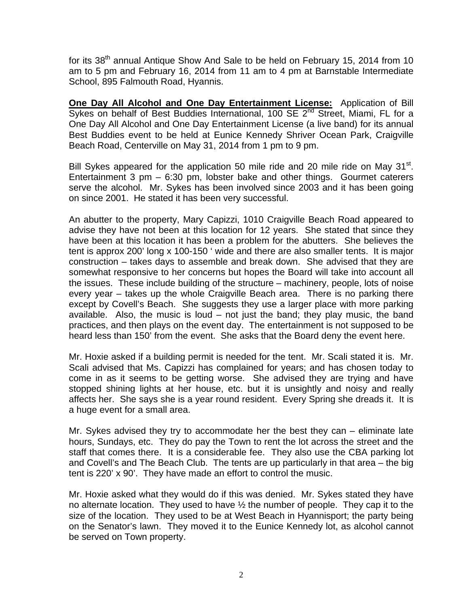for its 38<sup>th</sup> annual Antique Show And Sale to be held on February 15, 2014 from 10 am to 5 pm and February 16, 2014 from 11 am to 4 pm at Barnstable Intermediate School, 895 Falmouth Road, Hyannis.

**One Day All Alcohol and One Day Entertainment License:** Application of Bill Sykes on behalf of Best Buddies International, 100 SE  $2^{nd}$  Street, Miami, FL for a One Day All Alcohol and One Day Entertainment License (a live band) for its annual Best Buddies event to be held at Eunice Kennedy Shriver Ocean Park, Craigville Beach Road, Centerville on May 31, 2014 from 1 pm to 9 pm.

Bill Sykes appeared for the application 50 mile ride and 20 mile ride on May  $31<sup>st</sup>$ . Entertainment 3 pm – 6:30 pm, lobster bake and other things. Gourmet caterers serve the alcohol. Mr. Sykes has been involved since 2003 and it has been going on since 2001. He stated it has been very successful.

An abutter to the property, Mary Capizzi, 1010 Craigville Beach Road appeared to advise they have not been at this location for 12 years. She stated that since they have been at this location it has been a problem for the abutters. She believes the tent is approx 200' long x 100-150 ' wide and there are also smaller tents. It is major construction – takes days to assemble and break down. She advised that they are somewhat responsive to her concerns but hopes the Board will take into account all the issues. These include building of the structure – machinery, people, lots of noise every year – takes up the whole Craigville Beach area. There is no parking there except by Covell's Beach. She suggests they use a larger place with more parking available. Also, the music is loud – not just the band; they play music, the band practices, and then plays on the event day. The entertainment is not supposed to be heard less than 150' from the event. She asks that the Board deny the event here.

Mr. Hoxie asked if a building permit is needed for the tent. Mr. Scali stated it is. Mr. Scali advised that Ms. Capizzi has complained for years; and has chosen today to come in as it seems to be getting worse. She advised they are trying and have stopped shining lights at her house, etc. but it is unsightly and noisy and really affects her. She says she is a year round resident. Every Spring she dreads it. It is a huge event for a small area.

Mr. Sykes advised they try to accommodate her the best they can – eliminate late hours, Sundays, etc. They do pay the Town to rent the lot across the street and the staff that comes there. It is a considerable fee. They also use the CBA parking lot and Covell's and The Beach Club. The tents are up particularly in that area – the big tent is 220' x 90'. They have made an effort to control the music.

Mr. Hoxie asked what they would do if this was denied. Mr. Sykes stated they have no alternate location. They used to have  $\frac{1}{2}$  the number of people. They cap it to the size of the location. They used to be at West Beach in Hyannisport; the party being on the Senator's lawn. They moved it to the Eunice Kennedy lot, as alcohol cannot be served on Town property.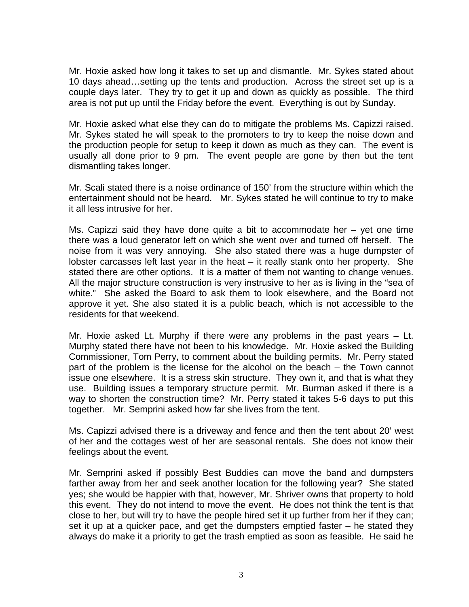Mr. Hoxie asked how long it takes to set up and dismantle. Mr. Sykes stated about 10 days ahead…setting up the tents and production. Across the street set up is a couple days later. They try to get it up and down as quickly as possible. The third area is not put up until the Friday before the event. Everything is out by Sunday.

Mr. Hoxie asked what else they can do to mitigate the problems Ms. Capizzi raised. Mr. Sykes stated he will speak to the promoters to try to keep the noise down and the production people for setup to keep it down as much as they can. The event is usually all done prior to 9 pm. The event people are gone by then but the tent dismantling takes longer.

Mr. Scali stated there is a noise ordinance of 150' from the structure within which the entertainment should not be heard. Mr. Sykes stated he will continue to try to make it all less intrusive for her.

Ms. Capizzi said they have done quite a bit to accommodate her – yet one time there was a loud generator left on which she went over and turned off herself. The noise from it was very annoying. She also stated there was a huge dumpster of lobster carcasses left last year in the heat – it really stank onto her property. She stated there are other options. It is a matter of them not wanting to change venues. All the major structure construction is very instrusive to her as is living in the "sea of white." She asked the Board to ask them to look elsewhere, and the Board not approve it yet. She also stated it is a public beach, which is not accessible to the residents for that weekend.

Mr. Hoxie asked Lt. Murphy if there were any problems in the past years – Lt. Murphy stated there have not been to his knowledge. Mr. Hoxie asked the Building Commissioner, Tom Perry, to comment about the building permits. Mr. Perry stated part of the problem is the license for the alcohol on the beach – the Town cannot issue one elsewhere. It is a stress skin structure. They own it, and that is what they use. Building issues a temporary structure permit. Mr. Burman asked if there is a way to shorten the construction time? Mr. Perry stated it takes 5-6 days to put this together. Mr. Semprini asked how far she lives from the tent.

Ms. Capizzi advised there is a driveway and fence and then the tent about 20' west of her and the cottages west of her are seasonal rentals. She does not know their feelings about the event.

Mr. Semprini asked if possibly Best Buddies can move the band and dumpsters farther away from her and seek another location for the following year? She stated yes; she would be happier with that, however, Mr. Shriver owns that property to hold this event. They do not intend to move the event. He does not think the tent is that close to her, but will try to have the people hired set it up further from her if they can; set it up at a quicker pace, and get the dumpsters emptied faster – he stated they always do make it a priority to get the trash emptied as soon as feasible. He said he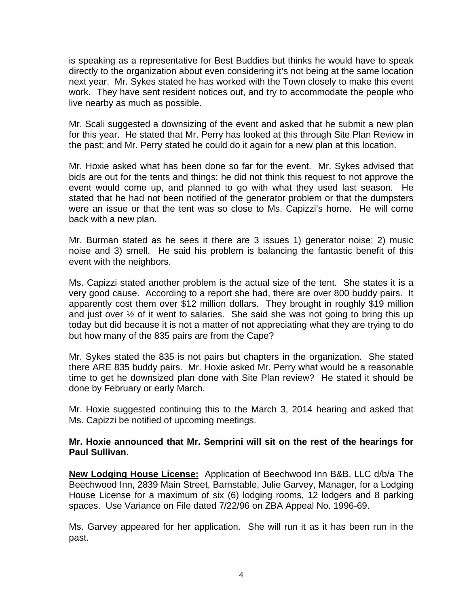is speaking as a representative for Best Buddies but thinks he would have to speak directly to the organization about even considering it's not being at the same location next year. Mr. Sykes stated he has worked with the Town closely to make this event work. They have sent resident notices out, and try to accommodate the people who live nearby as much as possible.

Mr. Scali suggested a downsizing of the event and asked that he submit a new plan for this year. He stated that Mr. Perry has looked at this through Site Plan Review in the past; and Mr. Perry stated he could do it again for a new plan at this location.

Mr. Hoxie asked what has been done so far for the event. Mr. Sykes advised that bids are out for the tents and things; he did not think this request to not approve the event would come up, and planned to go with what they used last season. He stated that he had not been notified of the generator problem or that the dumpsters were an issue or that the tent was so close to Ms. Capizzi's home. He will come back with a new plan.

Mr. Burman stated as he sees it there are 3 issues 1) generator noise; 2) music noise and 3) smell. He said his problem is balancing the fantastic benefit of this event with the neighbors.

Ms. Capizzi stated another problem is the actual size of the tent. She states it is a very good cause. According to a report she had, there are over 800 buddy pairs. It apparently cost them over \$12 million dollars. They brought in roughly \$19 million and just over  $\frac{1}{2}$  of it went to salaries. She said she was not going to bring this up today but did because it is not a matter of not appreciating what they are trying to do but how many of the 835 pairs are from the Cape?

Mr. Sykes stated the 835 is not pairs but chapters in the organization. She stated there ARE 835 buddy pairs. Mr. Hoxie asked Mr. Perry what would be a reasonable time to get he downsized plan done with Site Plan review? He stated it should be done by February or early March.

Mr. Hoxie suggested continuing this to the March 3, 2014 hearing and asked that Ms. Capizzi be notified of upcoming meetings.

## **Mr. Hoxie announced that Mr. Semprini will sit on the rest of the hearings for Paul Sullivan.**

**New Lodging House License:** Application of Beechwood Inn B&B, LLC d/b/a The Beechwood Inn, 2839 Main Street, Barnstable, Julie Garvey, Manager, for a Lodging House License for a maximum of six (6) lodging rooms, 12 lodgers and 8 parking spaces. Use Variance on File dated 7/22/96 on ZBA Appeal No. 1996-69.

Ms. Garvey appeared for her application. She will run it as it has been run in the past.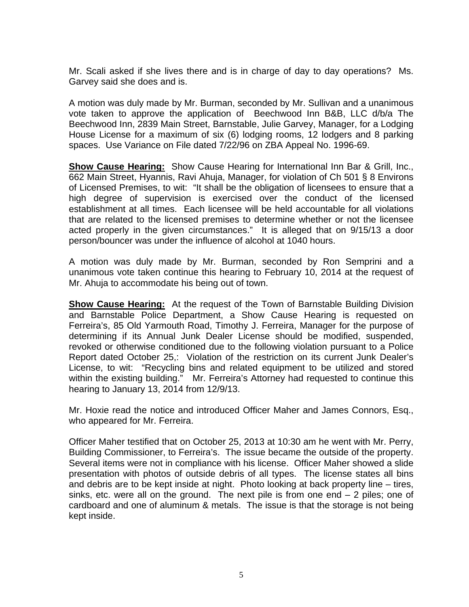Mr. Scali asked if she lives there and is in charge of day to day operations? Ms. Garvey said she does and is.

A motion was duly made by Mr. Burman, seconded by Mr. Sullivan and a unanimous vote taken to approve the application of Beechwood Inn B&B, LLC d/b/a The Beechwood Inn, 2839 Main Street, Barnstable, Julie Garvey, Manager, for a Lodging House License for a maximum of six (6) lodging rooms, 12 lodgers and 8 parking spaces. Use Variance on File dated 7/22/96 on ZBA Appeal No. 1996-69.

**Show Cause Hearing:** Show Cause Hearing for International Inn Bar & Grill, Inc., 662 Main Street, Hyannis, Ravi Ahuja, Manager, for violation of Ch 501 § 8 Environs of Licensed Premises, to wit: "It shall be the obligation of licensees to ensure that a high degree of supervision is exercised over the conduct of the licensed establishment at all times. Each licensee will be held accountable for all violations that are related to the licensed premises to determine whether or not the licensee acted properly in the given circumstances." It is alleged that on 9/15/13 a door person/bouncer was under the influence of alcohol at 1040 hours.

A motion was duly made by Mr. Burman, seconded by Ron Semprini and a unanimous vote taken continue this hearing to February 10, 2014 at the request of Mr. Ahuja to accommodate his being out of town.

**Show Cause Hearing:** At the request of the Town of Barnstable Building Division and Barnstable Police Department, a Show Cause Hearing is requested on Ferreira's, 85 Old Yarmouth Road, Timothy J. Ferreira, Manager for the purpose of determining if its Annual Junk Dealer License should be modified, suspended, revoked or otherwise conditioned due to the following violation pursuant to a Police Report dated October 25,: Violation of the restriction on its current Junk Dealer's License, to wit: "Recycling bins and related equipment to be utilized and stored within the existing building." Mr. Ferreira's Attorney had requested to continue this hearing to January 13, 2014 from 12/9/13.

Mr. Hoxie read the notice and introduced Officer Maher and James Connors, Esq., who appeared for Mr. Ferreira.

Officer Maher testified that on October 25, 2013 at 10:30 am he went with Mr. Perry, Building Commissioner, to Ferreira's. The issue became the outside of the property. Several items were not in compliance with his license. Officer Maher showed a slide presentation with photos of outside debris of all types. The license states all bins and debris are to be kept inside at night. Photo looking at back property line – tires, sinks, etc. were all on the ground. The next pile is from one end  $-2$  piles; one of cardboard and one of aluminum & metals. The issue is that the storage is not being kept inside.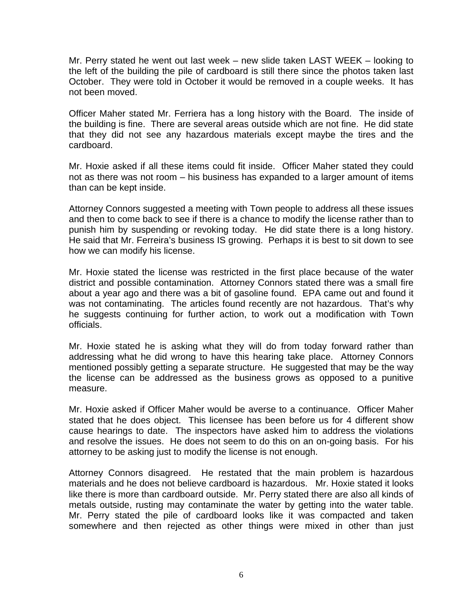Mr. Perry stated he went out last week – new slide taken LAST WEEK – looking to the left of the building the pile of cardboard is still there since the photos taken last October. They were told in October it would be removed in a couple weeks. It has not been moved.

Officer Maher stated Mr. Ferriera has a long history with the Board. The inside of the building is fine. There are several areas outside which are not fine. He did state that they did not see any hazardous materials except maybe the tires and the cardboard.

Mr. Hoxie asked if all these items could fit inside. Officer Maher stated they could not as there was not room – his business has expanded to a larger amount of items than can be kept inside.

Attorney Connors suggested a meeting with Town people to address all these issues and then to come back to see if there is a chance to modify the license rather than to punish him by suspending or revoking today. He did state there is a long history. He said that Mr. Ferreira's business IS growing. Perhaps it is best to sit down to see how we can modify his license.

Mr. Hoxie stated the license was restricted in the first place because of the water district and possible contamination. Attorney Connors stated there was a small fire about a year ago and there was a bit of gasoline found. EPA came out and found it was not contaminating. The articles found recently are not hazardous. That's why he suggests continuing for further action, to work out a modification with Town officials.

Mr. Hoxie stated he is asking what they will do from today forward rather than addressing what he did wrong to have this hearing take place. Attorney Connors mentioned possibly getting a separate structure. He suggested that may be the way the license can be addressed as the business grows as opposed to a punitive measure.

Mr. Hoxie asked if Officer Maher would be averse to a continuance. Officer Maher stated that he does object. This licensee has been before us for 4 different show cause hearings to date. The inspectors have asked him to address the violations and resolve the issues. He does not seem to do this on an on-going basis. For his attorney to be asking just to modify the license is not enough.

Attorney Connors disagreed. He restated that the main problem is hazardous materials and he does not believe cardboard is hazardous. Mr. Hoxie stated it looks like there is more than cardboard outside. Mr. Perry stated there are also all kinds of metals outside, rusting may contaminate the water by getting into the water table. Mr. Perry stated the pile of cardboard looks like it was compacted and taken somewhere and then rejected as other things were mixed in other than just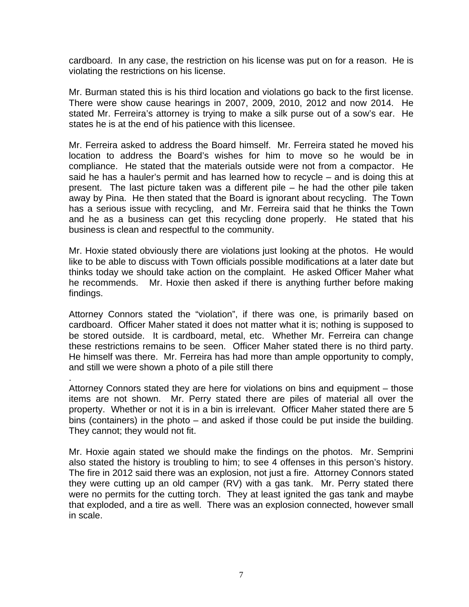cardboard. In any case, the restriction on his license was put on for a reason. He is violating the restrictions on his license.

Mr. Burman stated this is his third location and violations go back to the first license. There were show cause hearings in 2007, 2009, 2010, 2012 and now 2014. He stated Mr. Ferreira's attorney is trying to make a silk purse out of a sow's ear. He states he is at the end of his patience with this licensee.

Mr. Ferreira asked to address the Board himself. Mr. Ferreira stated he moved his location to address the Board's wishes for him to move so he would be in compliance. He stated that the materials outside were not from a compactor. He said he has a hauler's permit and has learned how to recycle – and is doing this at present. The last picture taken was a different pile – he had the other pile taken away by Pina. He then stated that the Board is ignorant about recycling. The Town has a serious issue with recycling, and Mr. Ferreira said that he thinks the Town and he as a business can get this recycling done properly. He stated that his business is clean and respectful to the community.

Mr. Hoxie stated obviously there are violations just looking at the photos. He would like to be able to discuss with Town officials possible modifications at a later date but thinks today we should take action on the complaint. He asked Officer Maher what he recommends. Mr. Hoxie then asked if there is anything further before making findings.

Attorney Connors stated the "violation", if there was one, is primarily based on cardboard. Officer Maher stated it does not matter what it is; nothing is supposed to be stored outside. It is cardboard, metal, etc. Whether Mr. Ferreira can change these restrictions remains to be seen. Officer Maher stated there is no third party. He himself was there. Mr. Ferreira has had more than ample opportunity to comply, and still we were shown a photo of a pile still there

Attorney Connors stated they are here for violations on bins and equipment – those items are not shown. Mr. Perry stated there are piles of material all over the property. Whether or not it is in a bin is irrelevant. Officer Maher stated there are 5 bins (containers) in the photo – and asked if those could be put inside the building. They cannot; they would not fit.

.

Mr. Hoxie again stated we should make the findings on the photos. Mr. Semprini also stated the history is troubling to him; to see 4 offenses in this person's history. The fire in 2012 said there was an explosion, not just a fire. Attorney Connors stated they were cutting up an old camper (RV) with a gas tank. Mr. Perry stated there were no permits for the cutting torch. They at least ignited the gas tank and maybe that exploded, and a tire as well. There was an explosion connected, however small in scale.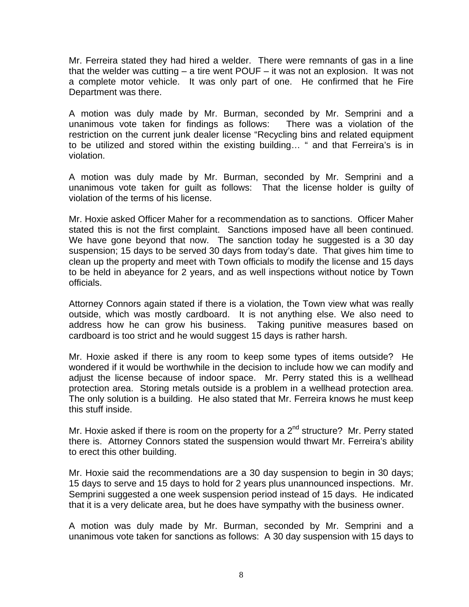Mr. Ferreira stated they had hired a welder. There were remnants of gas in a line that the welder was cutting – a tire went POUF – it was not an explosion. It was not a complete motor vehicle. It was only part of one. He confirmed that he Fire Department was there.

A motion was duly made by Mr. Burman, seconded by Mr. Semprini and a unanimous vote taken for findings as follows: There was a violation of the restriction on the current junk dealer license "Recycling bins and related equipment to be utilized and stored within the existing building… " and that Ferreira's is in violation.

A motion was duly made by Mr. Burman, seconded by Mr. Semprini and a unanimous vote taken for guilt as follows: That the license holder is guilty of violation of the terms of his license.

Mr. Hoxie asked Officer Maher for a recommendation as to sanctions. Officer Maher stated this is not the first complaint. Sanctions imposed have all been continued. We have gone beyond that now. The sanction today he suggested is a 30 day suspension; 15 days to be served 30 days from today's date. That gives him time to clean up the property and meet with Town officials to modify the license and 15 days to be held in abeyance for 2 years, and as well inspections without notice by Town officials.

Attorney Connors again stated if there is a violation, the Town view what was really outside, which was mostly cardboard. It is not anything else. We also need to address how he can grow his business. Taking punitive measures based on cardboard is too strict and he would suggest 15 days is rather harsh.

Mr. Hoxie asked if there is any room to keep some types of items outside? He wondered if it would be worthwhile in the decision to include how we can modify and adjust the license because of indoor space. Mr. Perry stated this is a wellhead protection area. Storing metals outside is a problem in a wellhead protection area. The only solution is a building. He also stated that Mr. Ferreira knows he must keep this stuff inside.

Mr. Hoxie asked if there is room on the property for a  $2^{nd}$  structure? Mr. Perry stated there is. Attorney Connors stated the suspension would thwart Mr. Ferreira's ability to erect this other building.

Mr. Hoxie said the recommendations are a 30 day suspension to begin in 30 days; 15 days to serve and 15 days to hold for 2 years plus unannounced inspections. Mr. Semprini suggested a one week suspension period instead of 15 days. He indicated that it is a very delicate area, but he does have sympathy with the business owner.

A motion was duly made by Mr. Burman, seconded by Mr. Semprini and a unanimous vote taken for sanctions as follows: A 30 day suspension with 15 days to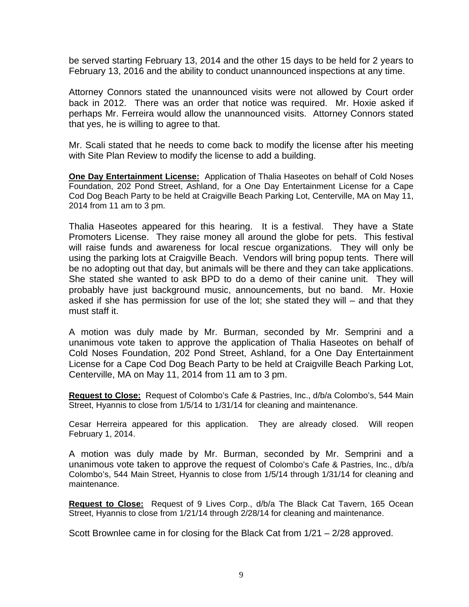be served starting February 13, 2014 and the other 15 days to be held for 2 years to February 13, 2016 and the ability to conduct unannounced inspections at any time.

Attorney Connors stated the unannounced visits were not allowed by Court order back in 2012. There was an order that notice was required. Mr. Hoxie asked if perhaps Mr. Ferreira would allow the unannounced visits. Attorney Connors stated that yes, he is willing to agree to that.

Mr. Scali stated that he needs to come back to modify the license after his meeting with Site Plan Review to modify the license to add a building.

**One Day Entertainment License:** Application of Thalia Haseotes on behalf of Cold Noses Foundation, 202 Pond Street, Ashland, for a One Day Entertainment License for a Cape Cod Dog Beach Party to be held at Craigville Beach Parking Lot, Centerville, MA on May 11, 2014 from 11 am to 3 pm.

Thalia Haseotes appeared for this hearing. It is a festival. They have a State Promoters License. They raise money all around the globe for pets. This festival will raise funds and awareness for local rescue organizations. They will only be using the parking lots at Craigville Beach. Vendors will bring popup tents. There will be no adopting out that day, but animals will be there and they can take applications. She stated she wanted to ask BPD to do a demo of their canine unit. They will probably have just background music, announcements, but no band. Mr. Hoxie asked if she has permission for use of the lot; she stated they will – and that they must staff it.

A motion was duly made by Mr. Burman, seconded by Mr. Semprini and a unanimous vote taken to approve the application of Thalia Haseotes on behalf of Cold Noses Foundation, 202 Pond Street, Ashland, for a One Day Entertainment License for a Cape Cod Dog Beach Party to be held at Craigville Beach Parking Lot, Centerville, MA on May 11, 2014 from 11 am to 3 pm.

**Request to Close:** Request of Colombo's Cafe & Pastries, Inc., d/b/a Colombo's, 544 Main Street, Hyannis to close from 1/5/14 to 1/31/14 for cleaning and maintenance.

Cesar Herreira appeared for this application. They are already closed. Will reopen February 1, 2014.

A motion was duly made by Mr. Burman, seconded by Mr. Semprini and a unanimous vote taken to approve the request of Colombo's Cafe & Pastries, Inc., d/b/a Colombo's, 544 Main Street, Hyannis to close from 1/5/14 through 1/31/14 for cleaning and maintenance.

**Request to Close:** Request of 9 Lives Corp., d/b/a The Black Cat Tavern, 165 Ocean Street, Hyannis to close from 1/21/14 through 2/28/14 for cleaning and maintenance.

Scott Brownlee came in for closing for the Black Cat from 1/21 – 2/28 approved.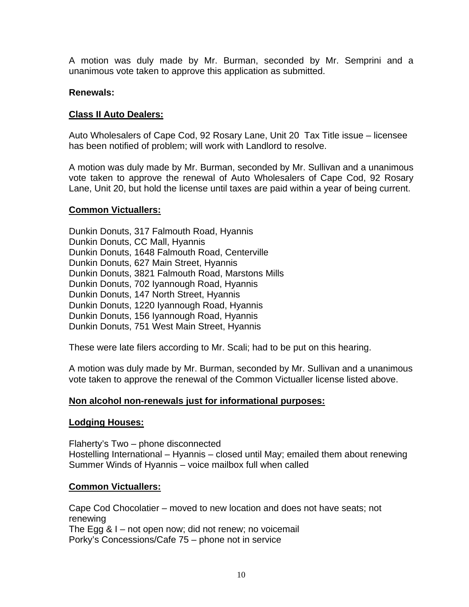A motion was duly made by Mr. Burman, seconded by Mr. Semprini and a unanimous vote taken to approve this application as submitted.

#### **Renewals:**

#### **Class II Auto Dealers:**

Auto Wholesalers of Cape Cod, 92 Rosary Lane, Unit 20 Tax Title issue – licensee has been notified of problem; will work with Landlord to resolve.

A motion was duly made by Mr. Burman, seconded by Mr. Sullivan and a unanimous vote taken to approve the renewal of Auto Wholesalers of Cape Cod, 92 Rosary Lane, Unit 20, but hold the license until taxes are paid within a year of being current.

#### **Common Victuallers:**

Dunkin Donuts, 317 Falmouth Road, Hyannis Dunkin Donuts, CC Mall, Hyannis Dunkin Donuts, 1648 Falmouth Road, Centerville Dunkin Donuts, 627 Main Street, Hyannis Dunkin Donuts, 3821 Falmouth Road, Marstons Mills Dunkin Donuts, 702 Iyannough Road, Hyannis Dunkin Donuts, 147 North Street, Hyannis Dunkin Donuts, 1220 Iyannough Road, Hyannis Dunkin Donuts, 156 Iyannough Road, Hyannis Dunkin Donuts, 751 West Main Street, Hyannis

These were late filers according to Mr. Scali; had to be put on this hearing.

A motion was duly made by Mr. Burman, seconded by Mr. Sullivan and a unanimous vote taken to approve the renewal of the Common Victualler license listed above.

## **Non alcohol non-renewals just for informational purposes:**

#### **Lodging Houses:**

Flaherty's Two – phone disconnected Hostelling International – Hyannis – closed until May; emailed them about renewing Summer Winds of Hyannis – voice mailbox full when called

## **Common Victuallers:**

Cape Cod Chocolatier – moved to new location and does not have seats; not renewing The Egg & I – not open now; did not renew; no voicemail Porky's Concessions/Cafe 75 – phone not in service